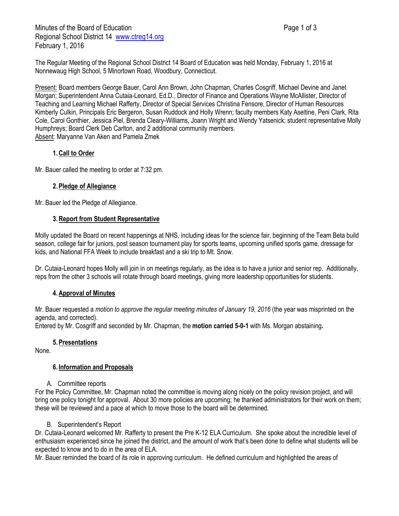Minutes of the Board of Education **Page 1 of 3** Page 1 of 3 Regional School District 14 [www.ctreg14.org](http://www.ctreg14.org/) February 1, 2016

The Regular Meeting of the Regional School District 14 Board of Education was held Monday, February 1, 2016 at Nonnewaug High School, 5 Minortown Road, Woodbury, Connecticut.

Present: Board members George Bauer, Carol Ann Brown, John Chapman, Charles Cosgriff, Michael Devine and Janet Morgan; Superintendent Anna Cutaia-Leonard, Ed.D., Director of Finance and Operations Wayne McAllister, Director of Teaching and Learning Michael Rafferty, Director of Special Services Christina Fensore, Director of Human Resources Kimberly Culkin, Principals Eric Bergeron, Susan Ruddock and Holly Wrenn; faculty members Katy Aseltine, Peni Clark, Rita Cole, Carol Gonthier, Jessica Piel, Brenda Cleary-Williams, Joann Wright and Wendy Yatsenick; student representative Molly Humphreys; Board Clerk Deb Carlton, and 2 additional community members. Absent: Maryanne Van Aken and Pamela Zmek

## **1.Call to Order**

Mr. Bauer called the meeting to order at 7:32 pm.

### **2.Pledge of Allegiance**

Mr. Bauer led the Pledge of Allegiance.

### **3.Report from Student Representative**

Molly updated the Board on recent happenings at NHS, including ideas for the science fair, beginning of the Team Beta build season, college fair for juniors, post season tournament play for sports teams, upcoming unified sports game, dressage for kids, and National FFA Week to include breakfast and a ski trip to Mt. Snow.

Dr. Cutaia-Leonard hopes Molly will join in on meetings regularly, as the idea is to have a junior and senior rep. Additionally, reps from the other 3 schools will rotate through board meetings, giving more leadership opportunities for students.

## **4.Approval of Minutes**

Mr. Bauer requested a *motion to approve the regular meeting minutes of January 19, 2016* (the year was misprinted on the agenda, and corrected).

Entered by Mr. Cosgriff and seconded by Mr. Chapman, the **motion carried 5-0-1** with Ms. Morgan abstaining**.**

#### **5.Presentations**

None.

#### **6. Information and Proposals**

A. Committee reports

For the Policy Committee, Mr. Chapman noted the committee is moving along nicely on the policy revision project, and will bring one policy tonight for approval. About 30 more policies are upcoming; he thanked administrators for their work on them; these will be reviewed and a pace at which to move those to the board will be determined.

#### B. Superintendent's Report

Dr. Cutaia-Leonard welcomed Mr. Rafferty to present the Pre K-12 ELA Curriculum. She spoke about the incredible level of enthusiasm experienced since he joined the district, and the amount of work that's been done to define what students will be expected to know and to do in the area of ELA.

Mr. Bauer reminded the board of its role in approving curriculum. He defined curriculum and highlighted the areas of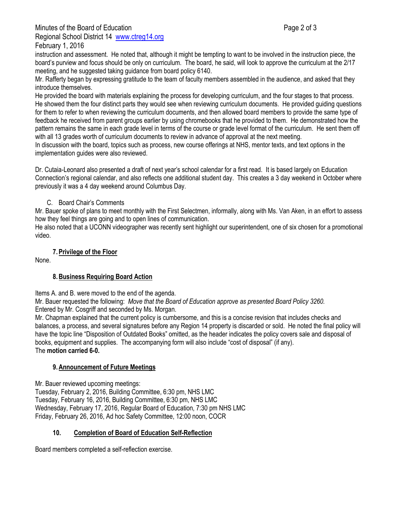Minutes of the Board of Education **Page 2 of 3** and 2 of 3 Regional School District 14 [www.ctreg14.org](http://www.ctreg14.org/) February 1, 2016

instruction and assessment. He noted that, although it might be tempting to want to be involved in the instruction piece, the board's purview and focus should be only on curriculum. The board, he said, will look to approve the curriculum at the 2/17 meeting, and he suggested taking guidance from board policy 6140.

Mr. Rafferty began by expressing gratitude to the team of faculty members assembled in the audience, and asked that they introduce themselves.

He provided the board with materials explaining the process for developing curriculum, and the four stages to that process. He showed them the four distinct parts they would see when reviewing curriculum documents. He provided guiding questions for them to refer to when reviewing the curriculum documents, and then allowed board members to provide the same type of feedback he received from parent groups earlier by using chromebooks that he provided to them. He demonstrated how the pattern remains the same in each grade level in terms of the course or grade level format of the curriculum. He sent them off with all 13 grades worth of curriculum documents to review in advance of approval at the next meeting.

In discussion with the board, topics such as process, new course offerings at NHS, mentor texts, and text options in the implementation guides were also reviewed.

Dr. Cutaia-Leonard also presented a draft of next year's school calendar for a first read. It is based largely on Education Connection's regional calendar, and also reflects one additional student day. This creates a 3 day weekend in October where previously it was a 4 day weekend around Columbus Day.

# C. Board Chair's Comments

Mr. Bauer spoke of plans to meet monthly with the First Selectmen, informally, along with Ms. Van Aken, in an effort to assess how they feel things are going and to open lines of communication.

He also noted that a UCONN videographer was recently sent highlight our superintendent, one of six chosen for a promotional video.

# **7.Privilege of the Floor**

None.

## **8.Business Requiring Board Action**

Items A. and B. were moved to the end of the agenda.

Mr. Bauer requested the following: *Move that the Board of Education approve as presented Board Policy 3260.*  Entered by Mr. Cosgriff and seconded by Ms. Morgan.

Mr. Chapman explained that the current policy is cumbersome, and this is a concise revision that includes checks and balances, a process, and several signatures before any Region 14 property is discarded or sold. He noted the final policy will have the topic line "Disposition of Outdated Books" omitted, as the header indicates the policy covers sale and disposal of books, equipment and supplies. The accompanying form will also include "cost of disposal" (if any). The **motion carried 6-0.**

## **9.Announcement of Future Meetings**

Mr. Bauer reviewed upcoming meetings:

Tuesday, February 2, 2016, Building Committee, 6:30 pm, NHS LMC Tuesday, February 16, 2016, Building Committee, 6:30 pm, NHS LMC Wednesday, February 17, 2016, Regular Board of Education, 7:30 pm NHS LMC Friday, February 26, 2016, Ad hoc Safety Committee, 12:00 noon, COCR

# **10. Completion of Board of Education Self-Reflection**

Board members completed a self-reflection exercise.